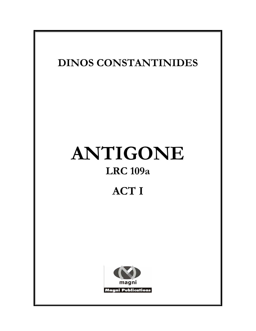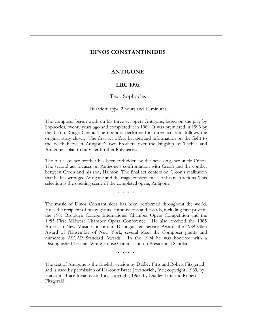## **DINOS CONSTANTINIDES**

## **ANTIGONE**

## **LRC 109a**

### Text: Sophocles

### Duration: appr. 2 hours and 12 minutes

The composer began work on his three-act opera Antigone, based on the play by Sophocles, twenty years ago and completed it in 1989. It was premiered in 1993 by the Baton Rouge Opera. The opera is performed in three acts and follows the original story closely. The first act offers background information on the fight to the death between Antigone's two brothers over the kingship of Thebes and Antigone's plan to bury her brother Polyneices.

The burial of her brother has been forbidden by the new king, her uncle Creon. The second act focuses on Antigone's confrontation with Creon and the conflict between Creon and his son, Haimon. The final act centers on Creon's realization that he has wronged Antigone and the tragic consequences of his rash actions. This selection is the opening scene of the completed opera, Antigone.

………

The music of Dinos Constantinides has been performed throughout the world. He is the recipient of many grants, commissions and awards, including first prize in the 1981 Brooklyn College International Chamber Opera Competition and the 1985 First Midwest Chamber Opera Conference. He also received the 1985 American New Music Consortium Distinguished Service Award, the 1989 Glen Award of l'Ensemble of New York, several Meet the Composer grants and numerous ASCAP Standard Awards. In the 1994 he was honored with a Distinguished Teacher White House Commission on Presidential Scholars.

………

The text of Antigone is the English version by Dudley Fitts and Robert Fitzgerald and is used by permission of Harcourt Brace Jovanovich, Inc.; copyright, 1939, by Harcourt Brace Jovanovich, Inc.; copyright, 1967, by Dudley Fitts and Robert Fitzgerald.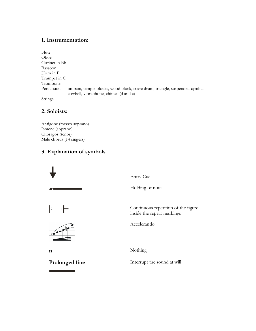# **1. Instrumentation:**

Flute Oboe Clarinet in Bb Bassoon Horn in F Trumpet in C Trombone Percussion: timpani, temple blocks, wood block, snare drum, triangle, suspended cymbal, cowbell, vibraphone, chimes (d and a) Strings

## **2. Soloists:**

Antigone (mezzo soprano) Ismene (soprano) Choragos (tenor) Male chorus (14 singers)

# **3. Explanation of symbols**

|                | <b>Entry Cue</b>                                                  |
|----------------|-------------------------------------------------------------------|
|                | Holding of note                                                   |
| Ŀ              | Continuous repetition of the figure<br>inside the repeat markings |
|                | Accelerando                                                       |
| $\mathbf n$    | Nothing                                                           |
| Prolonged line | Interrupt the sound at will                                       |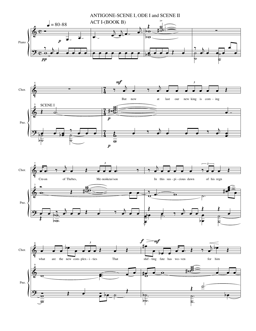





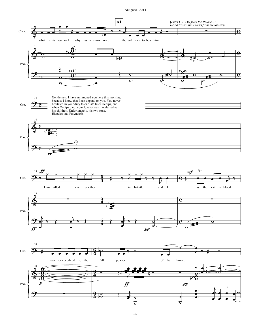

-2-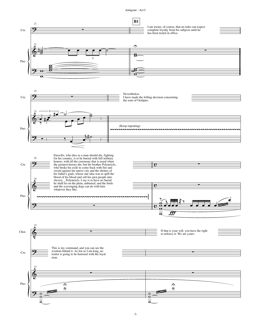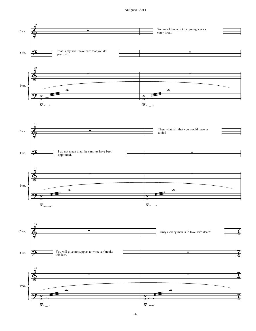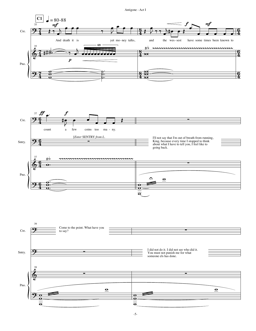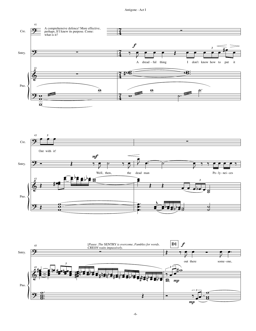



![](_page_8_Figure_3.jpeg)

 $-6-$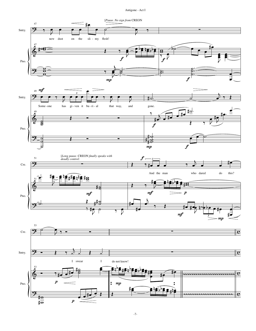![](_page_9_Figure_1.jpeg)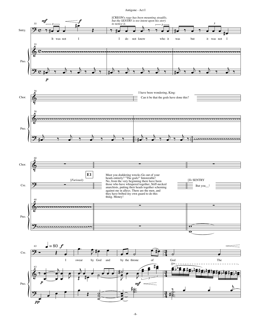![](_page_10_Figure_1.jpeg)

![](_page_10_Figure_2.jpeg)

![](_page_10_Figure_3.jpeg)

-8-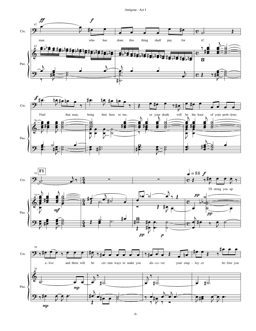![](_page_11_Figure_1.jpeg)

![](_page_11_Figure_2.jpeg)

![](_page_11_Figure_3.jpeg)

![](_page_11_Figure_4.jpeg)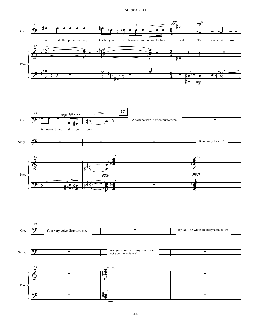![](_page_12_Figure_1.jpeg)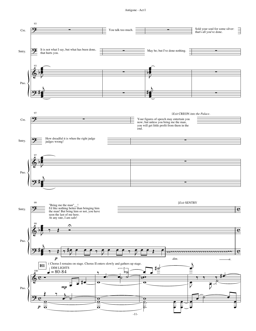![](_page_13_Figure_1.jpeg)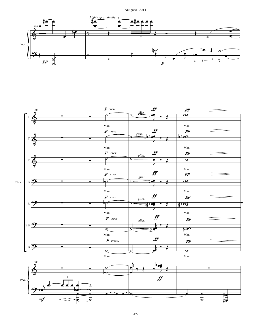![](_page_14_Figure_1.jpeg)

![](_page_14_Figure_2.jpeg)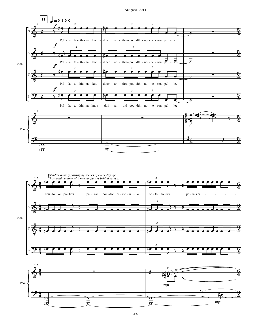![](_page_15_Figure_1.jpeg)

![](_page_15_Figure_2.jpeg)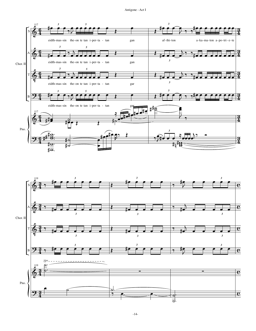![](_page_16_Figure_1.jpeg)

![](_page_16_Figure_2.jpeg)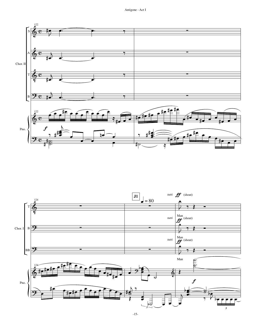![](_page_17_Figure_1.jpeg)

![](_page_17_Figure_2.jpeg)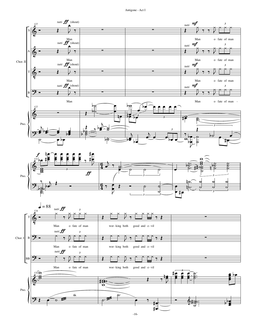![](_page_18_Figure_1.jpeg)

![](_page_18_Figure_2.jpeg)

![](_page_18_Figure_3.jpeg)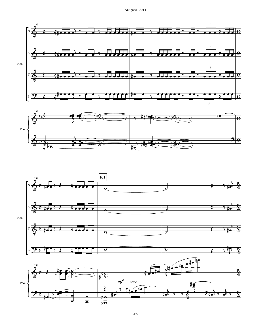![](_page_19_Figure_1.jpeg)

![](_page_19_Figure_2.jpeg)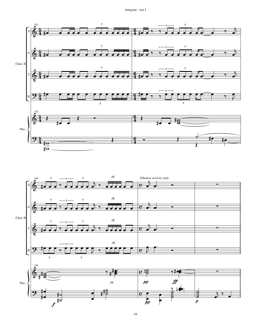![](_page_20_Figure_1.jpeg)

![](_page_20_Figure_2.jpeg)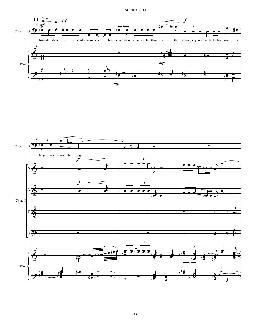![](_page_21_Figure_1.jpeg)

![](_page_21_Figure_2.jpeg)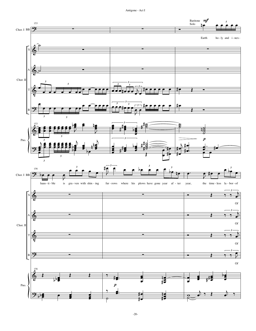![](_page_22_Figure_1.jpeg)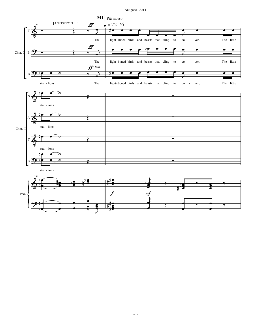![](_page_23_Figure_1.jpeg)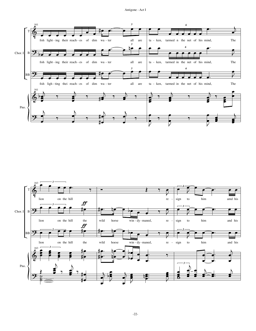![](_page_24_Figure_1.jpeg)

![](_page_24_Figure_2.jpeg)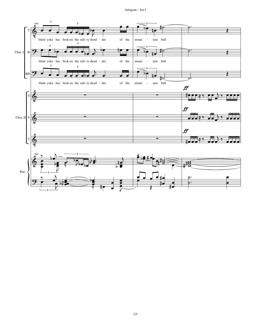![](_page_25_Figure_1.jpeg)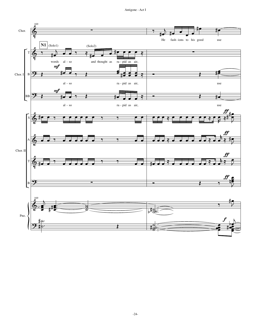![](_page_26_Figure_1.jpeg)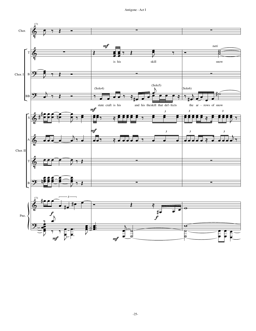![](_page_27_Figure_1.jpeg)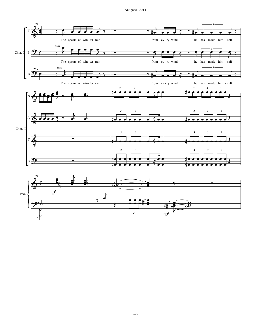![](_page_28_Figure_1.jpeg)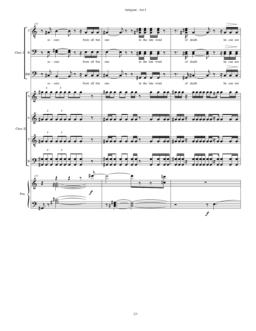![](_page_29_Figure_1.jpeg)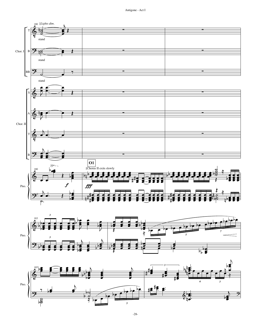![](_page_30_Figure_1.jpeg)

![](_page_30_Figure_2.jpeg)

![](_page_30_Figure_3.jpeg)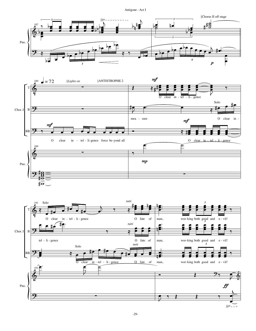![](_page_31_Figure_1.jpeg)

![](_page_31_Figure_2.jpeg)

![](_page_31_Figure_3.jpeg)

 $8^{vb - -}$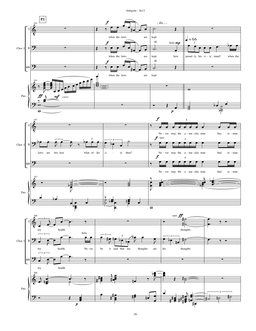![](_page_32_Figure_1.jpeg)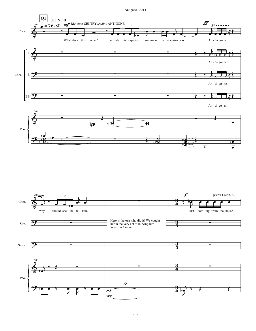![](_page_33_Figure_1.jpeg)

![](_page_33_Figure_2.jpeg)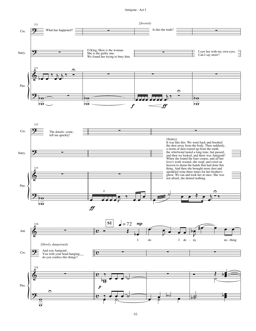![](_page_34_Figure_1.jpeg)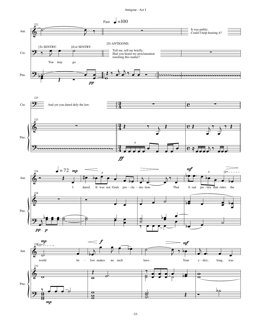![](_page_35_Figure_1.jpeg)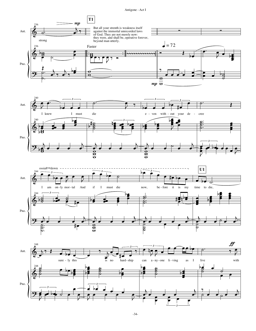![](_page_36_Figure_1.jpeg)

![](_page_36_Figure_2.jpeg)

![](_page_36_Figure_3.jpeg)

![](_page_36_Figure_4.jpeg)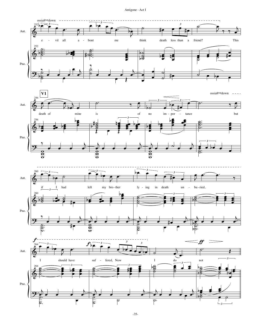![](_page_37_Figure_1.jpeg)

![](_page_37_Figure_2.jpeg)

![](_page_37_Figure_3.jpeg)

![](_page_37_Figure_4.jpeg)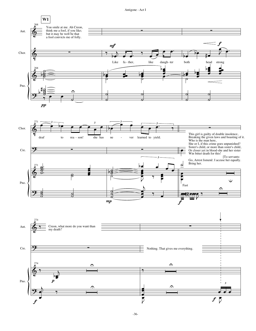![](_page_38_Figure_1.jpeg)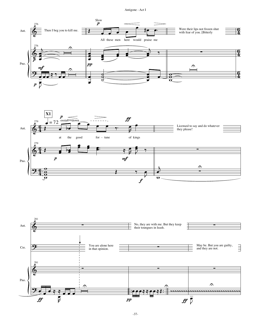![](_page_39_Figure_1.jpeg)

![](_page_39_Figure_2.jpeg)

![](_page_39_Figure_3.jpeg)

-37-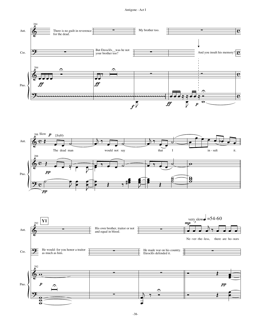![](_page_40_Figure_1.jpeg)

![](_page_40_Figure_2.jpeg)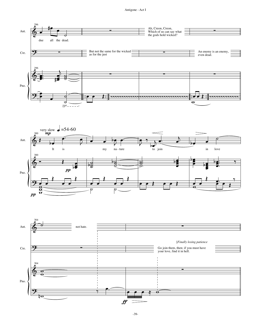![](_page_41_Figure_1.jpeg)

![](_page_41_Figure_2.jpeg)

![](_page_41_Figure_3.jpeg)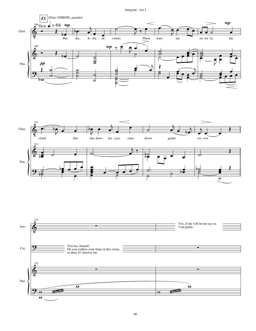![](_page_42_Figure_1.jpeg)

![](_page_42_Figure_2.jpeg)

![](_page_42_Figure_3.jpeg)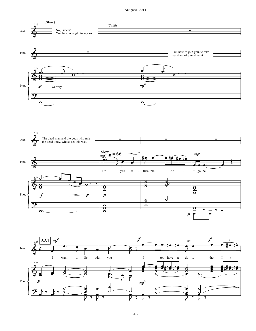![](_page_43_Figure_1.jpeg)

![](_page_43_Figure_2.jpeg)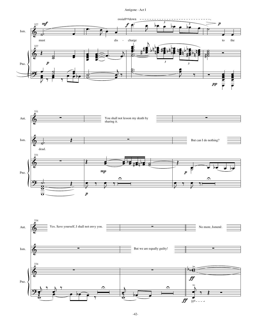![](_page_44_Figure_1.jpeg)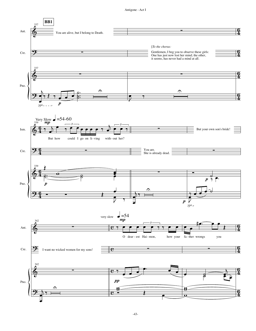![](_page_45_Figure_1.jpeg)